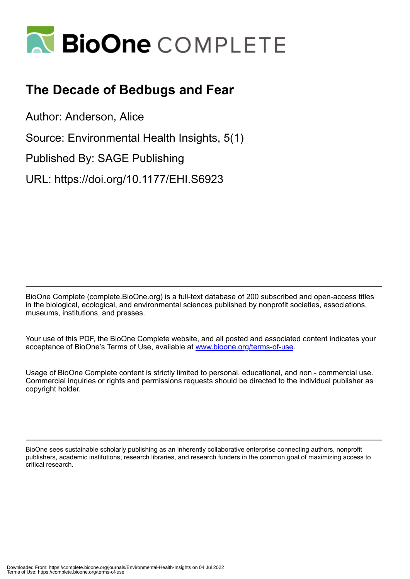

# **The Decade of Bedbugs and Fear**

Author: Anderson, Alice

Source: Environmental Health Insights, 5(1)

Published By: SAGE Publishing

URL: https://doi.org/10.1177/EHI.S6923

BioOne Complete (complete.BioOne.org) is a full-text database of 200 subscribed and open-access titles in the biological, ecological, and environmental sciences published by nonprofit societies, associations, museums, institutions, and presses.

Your use of this PDF, the BioOne Complete website, and all posted and associated content indicates your acceptance of BioOne's Terms of Use, available at www.bioone.org/terms-of-use.

Usage of BioOne Complete content is strictly limited to personal, educational, and non - commercial use. Commercial inquiries or rights and permissions requests should be directed to the individual publisher as copyright holder.

BioOne sees sustainable scholarly publishing as an inherently collaborative enterprise connecting authors, nonprofit publishers, academic institutions, research libraries, and research funders in the common goal of maximizing access to critical research.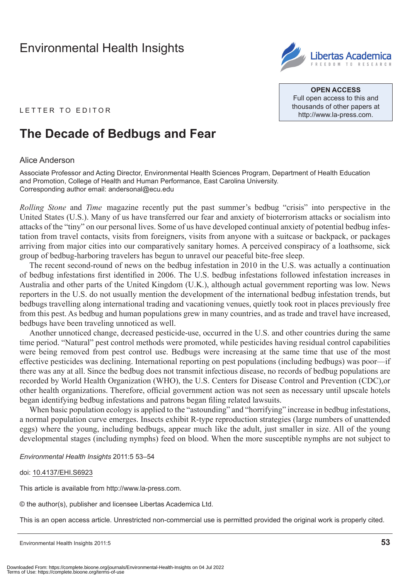## [Environmental Health Insights](http://www.la-press.com/environmental-health-insights-journal-j110)



**Open Access** Full open access to this and thousands of other papers at <http://www.la-press.com>.

LETTER TO EDITOR

## **The Decade of Bedbugs and Fear**

### Alice Anderson

Associate Professor and Acting Director, Environmental Health Sciences Program, Department of Health Education and Promotion, College of Health and Human Performance, East Carolina University. Corresponding author email: [andersonal@ecu.edu](mailto:andersonal@ecu.edu)

*Rolling Stone* and *Time* magazine recently put the past summer's bedbug "crisis" into perspective in the United States (U.S.). Many of us have transferred our fear and anxiety of bioterrorism attacks or socialism into attacks of the "tiny" on our personal lives. Some of us have developed continual anxiety of potential bedbug infestation from travel contacts, visits from foreigners, visits from anyone with a suitcase or backpack, or packages arriving from major cities into our comparatively sanitary homes. A perceived conspiracy of a loathsome, sick group of bedbug-harboring travelers has begun to unravel our peaceful bite-free sleep.

The recent second-round of news on the bedbug infestation in 2010 in the U.S. was actually a continuation of bedbug infestations first identified in 2006. The U.S. bedbug infestations followed infestation increases in Australia and other parts of the United Kingdom (U.K.), although actual government reporting was low. News reporters in the U.S. do not usually mention the development of the international bedbug infestation trends, but bedbugs travelling along international trading and vacationing venues, quietly took root in places previously free from this pest. As bedbug and human populations grew in many countries, and as trade and travel have increased, bedbugs have been traveling unnoticed as well.

Another unnoticed change, decreased pesticide-use, occurred in the U.S. and other countries during the same time period. "Natural" pest control methods were promoted, while pesticides having residual control capabilities were being removed from pest control use. Bedbugs were increasing at the same time that use of the most effective pesticides was declining. International reporting on pest populations (including bedbugs) was poor—if there was any at all. Since the bedbug does not transmit infectious disease, no records of bedbug populations are recorded by World Health Organization (WHO), the U.S. Centers for Disease Control and Prevention (CDC),or other health organizations. Therefore, official government action was not seen as necessary until upscale hotels began identifying bedbug infestations and patrons began filing related lawsuits.

When basic population ecology is applied to the "astounding" and "horrifying" increase in bedbug infestations, a normal population curve emerges. Insects exhibit R-type reproduction strategies (large numbers of unattended eggs) where the young, including bedbugs, appear much like the adult, just smaller in size. All of the young developmental stages (including nymphs) feed on blood. When the more susceptible nymphs are not subject to

#### *Environmental Health Insights* 2011:5 53–54

#### doi: [10.4137/EHI.S6923](http://dx.doi.org/10.4137/EHI.S6923)

This article is available from [http://www.la-press.com.](http://www.la-press.com)

© the author(s), publisher and licensee Libertas Academica Ltd.

This is an open access article. Unrestricted non-commercial use is permitted provided the original work is properly cited.

Environmental Health Insights 2011:5 **53**